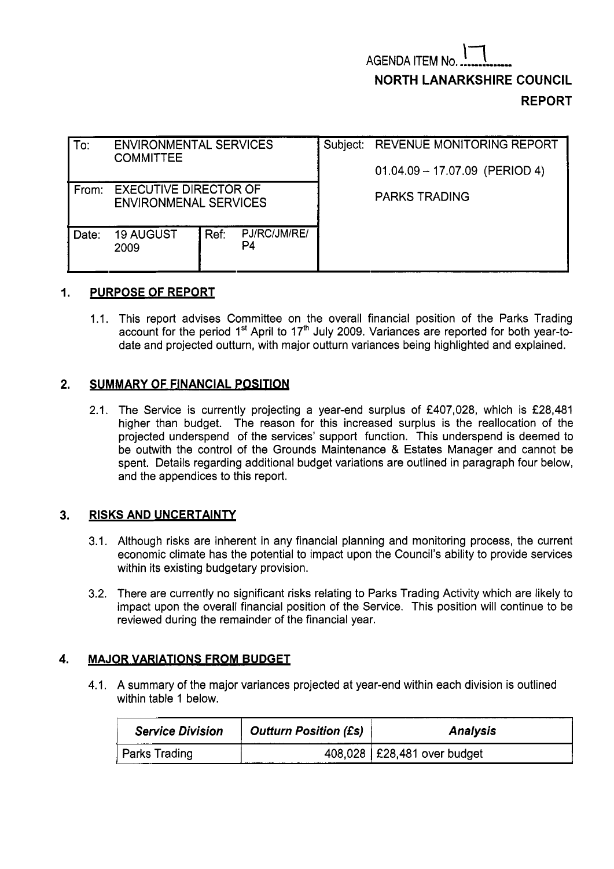| To:   | <b>ENVIRONMENTAL SERVICES</b><br><b>COMMITTEE</b>            |      |                    | Subject: REVENUE MONITORING REPORT<br>$01.04.09 - 17.07.09$ (PERIOD 4) |  |  |  |
|-------|--------------------------------------------------------------|------|--------------------|------------------------------------------------------------------------|--|--|--|
| From: | <b>EXECUTIVE DIRECTOR OF</b><br><b>ENVIRONMENAL SERVICES</b> |      |                    | <b>PARKS TRADING</b>                                                   |  |  |  |
| Date: | <b>19 AUGUST</b><br>2009                                     | Ref: | PJ/RC/JM/RE/<br>P4 |                                                                        |  |  |  |

# **1. PURPOSE OF REPORT**

1.1. This report advises Committee on the overall financial position of the Parks Trading account for the period 1<sup>st</sup> April to 17<sup>th</sup> July 2009. Variances are reported for both year-todate and projected outturn, with major outturn variances being highlighted and explained.

## **2. SUMMARY OF FINANCIAL POSITION**

2.1. The Service is currently projecting a year-end surplus of £407,028, which is £28,481 higher than budget. The reason for this increased surplus is the reallocation of the projected underspend of the services' support function. This underspend is deemed to be outwith the control of the Grounds Maintenance & Estates Manager and cannot be spent. Details regarding additional budget variations are outlined in paragraph four below, and the appendices to this report.

## **3. RISKS AND UNCERTAINTY**

- 3.1. Although risks are inherent in any financial planning and monitoring process, the current economic climate has the potential to impact upon the Council's ability to provide services within its existing budgetary provision.
- 3.2. There are currently no significant risks relating to Parks Trading Activity which are likely to impact upon the overall financial position of the Service. This position will continue to be reviewed during the remainder of the financial year.

## **4. MAJOR VARIATIONS FROM BUDGET**

4.1. A summary of the major variances projected at year-end within each division is outlined within table 1 below.

| <b>Service Division</b> | <b>Outturn Position (£s)</b> | <b>Analysis</b>               |  |  |  |
|-------------------------|------------------------------|-------------------------------|--|--|--|
| Parks Trading           |                              | 408.028   £28,481 over budget |  |  |  |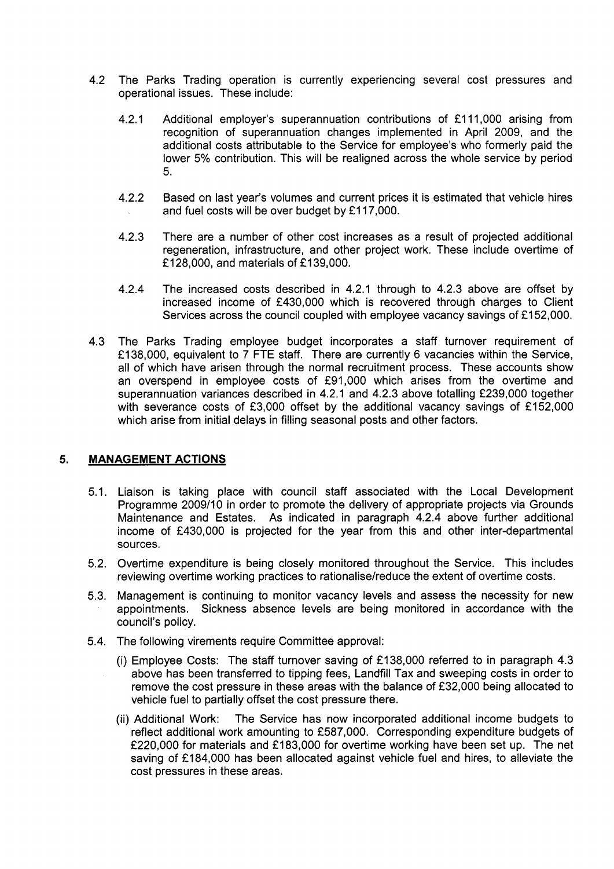- 4.2 The Parks Trading operation is currently experiencing several cost pressures and operational issues. These include:
	- 4.2.1 Additional employer's superannuation contributions of £111,000 arising from recognition of superannuation changes implemented in April 2009, and the additional costs attributable to the Service for employee's who formerly paid the lower *5%* contribution. This will be realigned across the whole service by period *5.*
	- 4.2.2 Based on last year's volumes and current prices it is estimated that vehicle hires and fuel costs will be over budget by £117,000.
	- 4.2.3 There are a number of other cost increases as a result of projected additional regeneration, infrastructure, and other project work. These include overtime of £128,000, and materials of £139,000.
	- 4.2.4 The increased costs described in 4.2.1 through to 4.2.3 above are offset by increased income of f430,OOO which is recovered through charges to Client Services across the council coupled with employee vacancy savings of £152,000.
- 4.3 The Parks Trading employee budget incorporates a staff turnover requirement of f 138,000, equivalent to 7 FTE staff. There are currently 6 vacancies within the Service, all of which have arisen through the normal recruitment process. These accounts show an overspend in employee costs of £91,000 which arises from the overtime and superannuation variances described in 4.2.1 and 4.2.3 above totalling £239,000 together with severance costs of £3,000 offset by the additional vacancy savings of £152,000 which arise from initial delays in filling seasonal posts and other factors.

# **5. MANAGEMENT ACTIONS**

- 5.1. Liaison is taking place with council staff associated with the Local Development Programme 2009/10 in order to promote the delivery of appropriate projects via Grounds Maintenance and Estates. **As** indicated in paragraph 4.2.4 above further additional income of f430,OOO is projected for the year from this and other inter-departmental sources.
- 5.2. Overtime expenditure is being closely monitored throughout the Service. This includes reviewing overtime working practices to rationalise/reduce the extent of overtime costs.
- 5.3. Management is continuing to monitor vacancy levels and assess the necessity for new appointments. Sickness absence levels are being monitored in accordance with the council's policy.
- 5.4. The following virements require Committee approval:
	- (i) Employee Costs: The staff turnover saving of €138,000 referred to in paragraph 4.3 above has been transferred to tipping fees, Landfill Tax and sweeping costs in order to remove the cost pressure in these areas with the balance of £32,000 being allocated to vehicle fuel to partially offset the cost pressure there.
	- The Service has now incorporated additional income budgets to reflect additional work amounting to £587,000. Corresponding expenditure budgets of £220,000 for materials and £183,000 for overtime working have been set up. The net saving of £184,000 has been allocated against vehicle fuel and hires, to alleviate the cost pressures in these areas. (ii) Additional Work: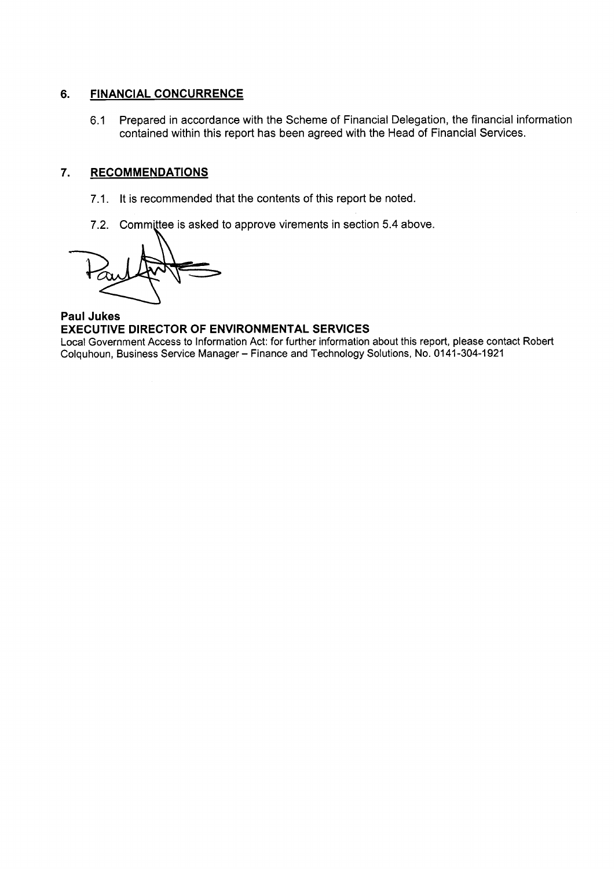# **6. FINANCIAL CONCURRENCE**

6.1 Prepared in accordance with the Scheme of Financial Delegation, the financial information contained within this report has been agreed with the Head of Financial Services.

# **7. RECOMMENDATIONS**

- 7.1. It is recommended that the contents of this report be noted.
- 

RECOMMENDATIONS<br>
7.1. It is recommended that the contents of this report be noted.<br>
7.2. Committee is asked to approve virements in section 5.4 above.<br> **ANDER DIRECTOR OF ENVIRONMENTAL SERVICES**<br>
CRECTOR OF ENVIRONMENTAL S

**Paul Jukes EXECUTIVE DIRECTOR OF ENVIRONMENTAL SERVICES** 

Local Government Access to Information Act: for further information about this report, please contact Robert Colquhoun, Business Service Manager - Finance and Technology Solutions, No. 01 41-304-1 921